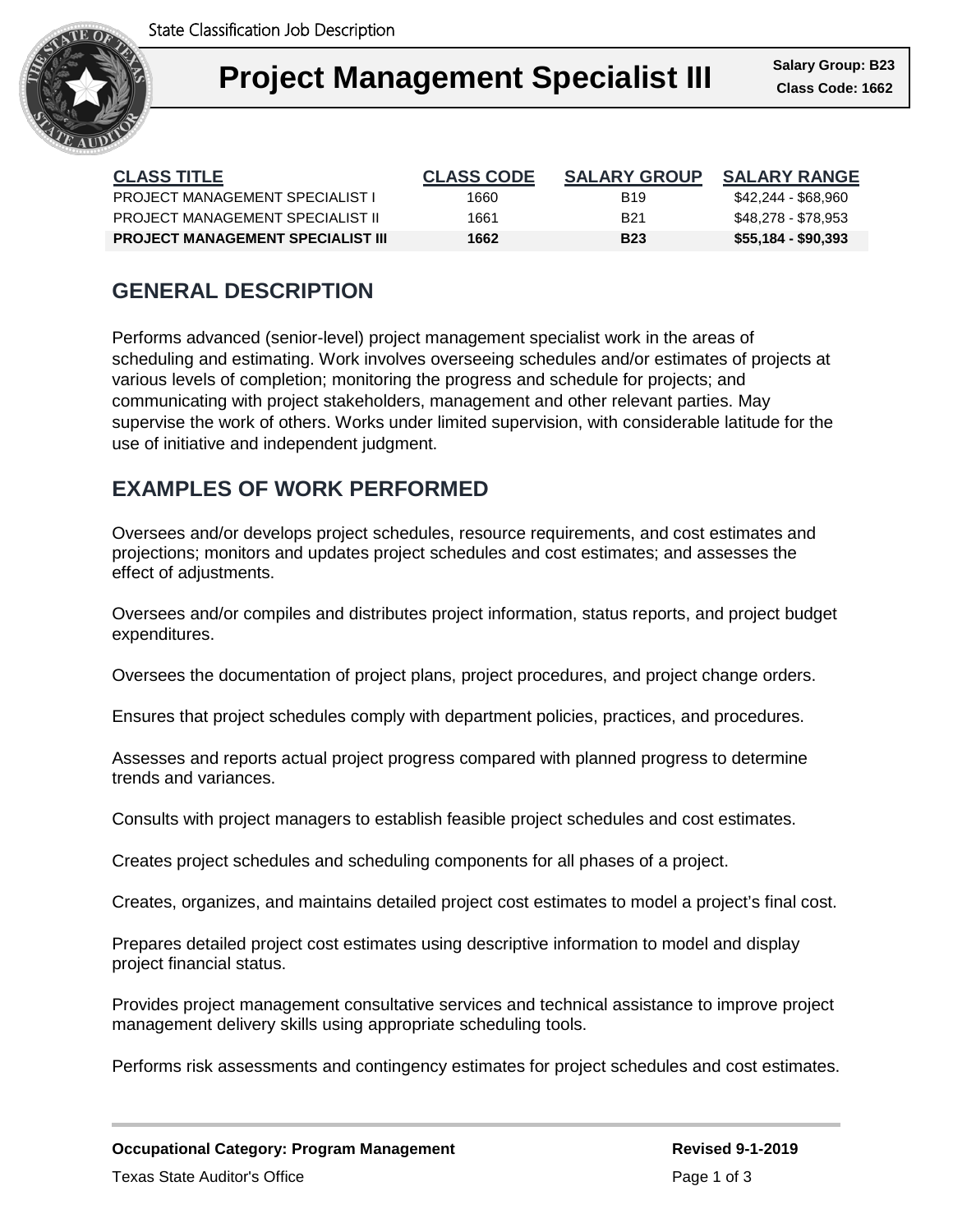

| <b>CLASS TITLE</b>                       | <b>CLASS CODE</b> | <b>SALARY GROUP</b> | <b>SALARY RANGE</b> |
|------------------------------------------|-------------------|---------------------|---------------------|
| <b>PROJECT MANAGEMENT SPECIALIST L</b>   | 1660              | <b>B</b> 19         | \$42,244 - \$68,960 |
| PROJECT MANAGEMENT SPECIALIST IL         | 1661              | B <sub>21</sub>     | \$48.278 - \$78.953 |
| <b>PROJECT MANAGEMENT SPECIALIST III</b> | 1662              | <b>B23</b>          | \$55,184 - \$90,393 |

## **GENERAL DESCRIPTION**

Performs advanced (senior-level) project management specialist work in the areas of scheduling and estimating. Work involves overseeing schedules and/or estimates of projects at various levels of completion; monitoring the progress and schedule for projects; and communicating with project stakeholders, management and other relevant parties. May supervise the work of others. Works under limited supervision, with considerable latitude for the use of initiative and independent judgment.

# **EXAMPLES OF WORK PERFORMED**

Oversees and/or develops project schedules, resource requirements, and cost estimates and projections; monitors and updates project schedules and cost estimates; and assesses the effect of adjustments.

Oversees and/or compiles and distributes project information, status reports, and project budget expenditures.

Oversees the documentation of project plans, project procedures, and project change orders.

Ensures that project schedules comply with department policies, practices, and procedures.

Assesses and reports actual project progress compared with planned progress to determine trends and variances.

Consults with project managers to establish feasible project schedules and cost estimates.

Creates project schedules and scheduling components for all phases of a project.

Creates, organizes, and maintains detailed project cost estimates to model a project's final cost.

Prepares detailed project cost estimates using descriptive information to model and display project financial status.

Provides project management consultative services and technical assistance to improve project management delivery skills using appropriate scheduling tools.

Performs risk assessments and contingency estimates for project schedules and cost estimates.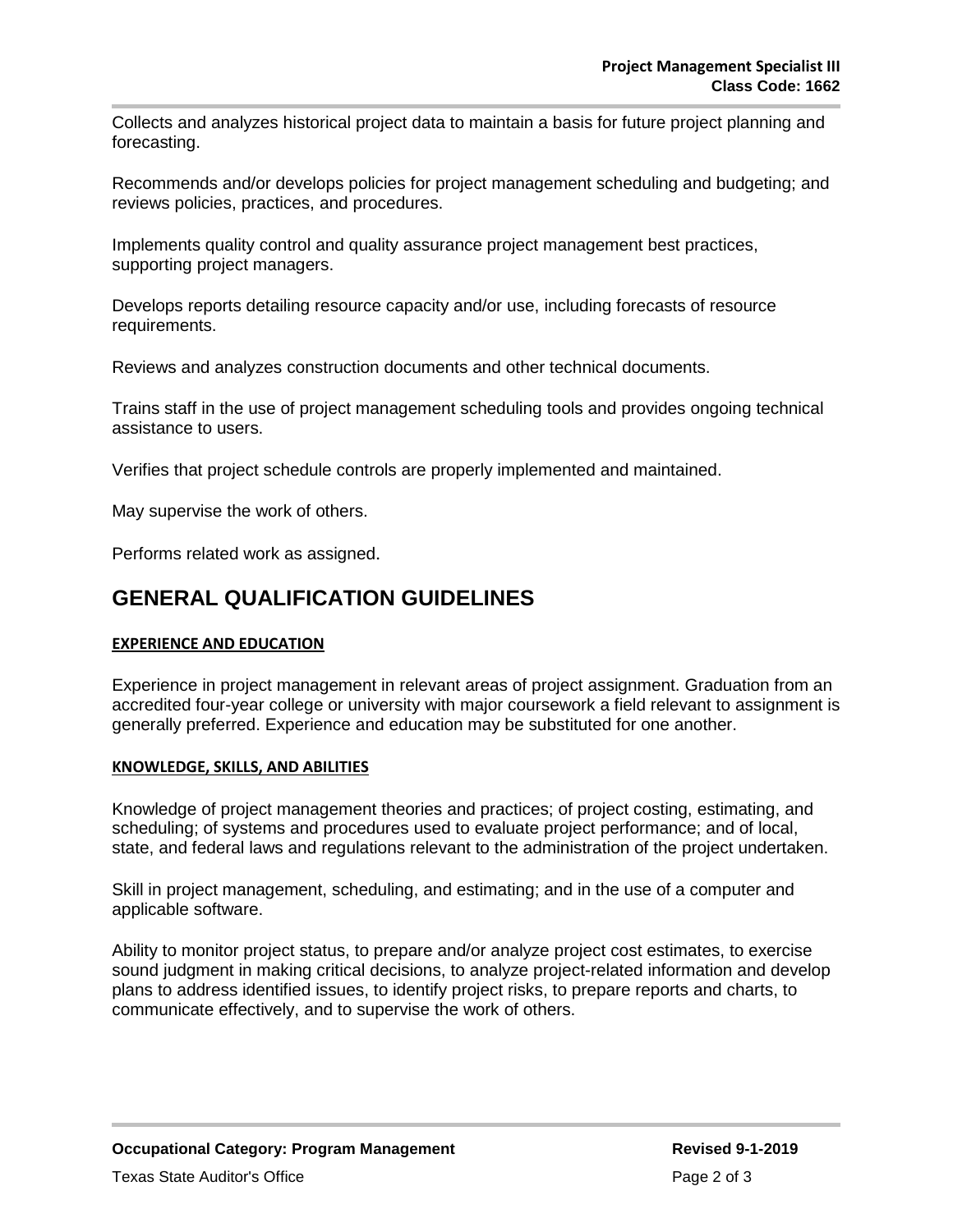Collects and analyzes historical project data to maintain a basis for future project planning and forecasting.

Recommends and/or develops policies for project management scheduling and budgeting; and reviews policies, practices, and procedures.

Implements quality control and quality assurance project management best practices, supporting project managers.

Develops reports detailing resource capacity and/or use, including forecasts of resource requirements.

Reviews and analyzes construction documents and other technical documents.

Trains staff in the use of project management scheduling tools and provides ongoing technical assistance to users.

Verifies that project schedule controls are properly implemented and maintained.

May supervise the work of others.

Performs related work as assigned.

### **GENERAL QUALIFICATION GUIDELINES**

#### **EXPERIENCE AND EDUCATION**

Experience in project management in relevant areas of project assignment. Graduation from an accredited four-year college or university with major coursework a field relevant to assignment is generally preferred. Experience and education may be substituted for one another.

#### **KNOWLEDGE, SKILLS, AND ABILITIES**

Knowledge of project management theories and practices; of project costing, estimating, and scheduling; of systems and procedures used to evaluate project performance; and of local, state, and federal laws and regulations relevant to the administration of the project undertaken.

Skill in project management, scheduling, and estimating; and in the use of a computer and applicable software.

Ability to monitor project status, to prepare and/or analyze project cost estimates, to exercise sound judgment in making critical decisions, to analyze project-related information and develop plans to address identified issues, to identify project risks, to prepare reports and charts, to communicate effectively, and to supervise the work of others.